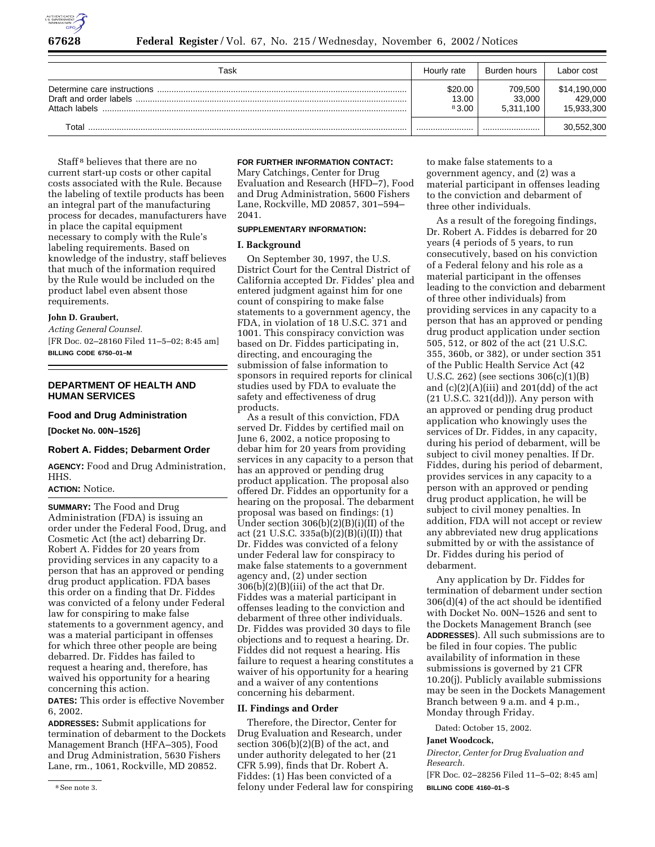

| Task          | Hourly rate               | Burden hours                   | Labor cost                            |
|---------------|---------------------------|--------------------------------|---------------------------------------|
| Attach labels | \$20.00<br>13.00<br>83.00 | 709.500<br>33,000<br>5.311.100 | \$14,190,000<br>429.000<br>15,933,300 |
| Total         |                           |                                | 30,552,300                            |

Staff 8 believes that there are no current start-up costs or other capital costs associated with the Rule. Because the labeling of textile products has been an integral part of the manufacturing process for decades, manufacturers have in place the capital equipment necessary to comply with the Rule's labeling requirements. Based on knowledge of the industry, staff believes that much of the information required by the Rule would be included on the product label even absent those requirements.

# **John D. Graubert,**

*Acting General Counsel.* [FR Doc. 02–28160 Filed 11–5–02; 8:45 am] **BILLING CODE 6750–01–M**

# **DEPARTMENT OF HEALTH AND HUMAN SERVICES**

### **Food and Drug Administration**

**[Docket No. 00N–1526]**

### **Robert A. Fiddes; Debarment Order**

**AGENCY:** Food and Drug Administration, HHS.

# **ACTION:** Notice.

**SUMMARY:** The Food and Drug Administration (FDA) is issuing an order under the Federal Food, Drug, and Cosmetic Act (the act) debarring Dr. Robert A. Fiddes for 20 years from providing services in any capacity to a person that has an approved or pending drug product application. FDA bases this order on a finding that Dr. Fiddes was convicted of a felony under Federal law for conspiring to make false statements to a government agency, and was a material participant in offenses for which three other people are being debarred. Dr. Fiddes has failed to request a hearing and, therefore, has waived his opportunity for a hearing concerning this action.

**DATES:** This order is effective November 6, 2002.

**ADDRESSES:** Submit applications for termination of debarment to the Dockets Management Branch (HFA–305), Food and Drug Administration, 5630 Fishers Lane, rm., 1061, Rockville, MD 20852.

#### **FOR FURTHER INFORMATION CONTACT:**

Mary Catchings, Center for Drug Evaluation and Research (HFD–7), Food and Drug Administration, 5600 Fishers Lane, Rockville, MD 20857, 301–594– 2041.

# **SUPPLEMENTARY INFORMATION:**

# **I. Background**

On September 30, 1997, the U.S. District Court for the Central District of California accepted Dr. Fiddes' plea and entered judgment against him for one count of conspiring to make false statements to a government agency, the FDA, in violation of 18 U.S.C. 371 and 1001. This conspiracy conviction was based on Dr. Fiddes participating in, directing, and encouraging the submission of false information to sponsors in required reports for clinical studies used by FDA to evaluate the safety and effectiveness of drug products.

As a result of this conviction, FDA served Dr. Fiddes by certified mail on June 6, 2002, a notice proposing to debar him for 20 years from providing services in any capacity to a person that has an approved or pending drug product application. The proposal also offered Dr. Fiddes an opportunity for a hearing on the proposal. The debarment proposal was based on findings: (1) Under section  $306(b)(2)(B)(i)(II)$  of the act  $(21 \text{ U.S.C. } 335a(b)(2)(B)(i)(II))$  that Dr. Fiddes was convicted of a felony under Federal law for conspiracy to make false statements to a government agency and, (2) under section  $306(b)(2)(B)(iii)$  of the act that Dr. Fiddes was a material participant in offenses leading to the conviction and debarment of three other individuals. Dr. Fiddes was provided 30 days to file objections and to request a hearing. Dr. Fiddes did not request a hearing. His failure to request a hearing constitutes a waiver of his opportunity for a hearing and a waiver of any contentions concerning his debarment.

# **II. Findings and Order**

Therefore, the Director, Center for Drug Evaluation and Research, under section 306(b)(2)(B) of the act, and under authority delegated to her (21 CFR 5.99), finds that Dr. Robert A. Fiddes: (1) Has been convicted of a felony under Federal law for conspiring to make false statements to a government agency, and (2) was a material participant in offenses leading to the conviction and debarment of three other individuals.

As a result of the foregoing findings, Dr. Robert A. Fiddes is debarred for 20 years (4 periods of 5 years, to run consecutively, based on his conviction of a Federal felony and his role as a material participant in the offenses leading to the conviction and debarment of three other individuals) from providing services in any capacity to a person that has an approved or pending drug product application under section 505, 512, or 802 of the act (21 U.S.C. 355, 360b, or 382), or under section 351 of the Public Health Service Act (42 U.S.C. 262) (see sections 306(c)(1)(B) and  $(c)(2)(A)(iii)$  and  $201(dd)$  of the act (21 U.S.C. 321(dd))). Any person with an approved or pending drug product application who knowingly uses the services of Dr. Fiddes, in any capacity, during his period of debarment, will be subject to civil money penalties. If Dr. Fiddes, during his period of debarment, provides services in any capacity to a person with an approved or pending drug product application, he will be subject to civil money penalties. In addition, FDA will not accept or review any abbreviated new drug applications submitted by or with the assistance of Dr. Fiddes during his period of debarment.

Any application by Dr. Fiddes for termination of debarment under section 306(d)(4) of the act should be identified with Docket No. 00N–1526 and sent to the Dockets Management Branch (see **ADDRESSES**). All such submissions are to be filed in four copies. The public availability of information in these submissions is governed by 21 CFR 10.20(j). Publicly available submissions may be seen in the Dockets Management Branch between 9 a.m. and 4 p.m., Monday through Friday.

Dated: October 15, 2002.

#### **Janet Woodcock,**

*Director, Center for Drug Evaluation and Research.*

[FR Doc. 02–28256 Filed 11–5–02; 8:45 am] **BILLING CODE 4160–01–S**

<sup>8</sup>See note 3.